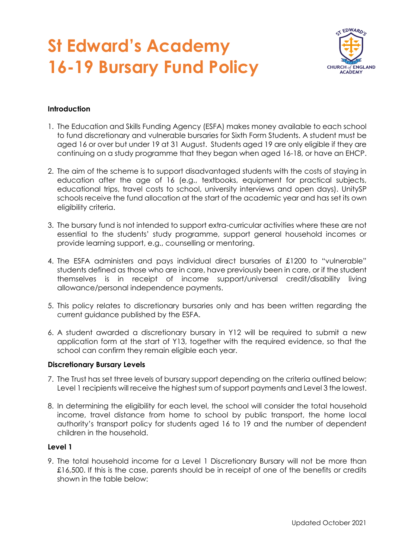## **St Edward's Academy 16-19 Bursary Fund Policy**



### **Introduction**

- 1. The Education and Skills Funding Agency (ESFA) makes money available to each school to fund discretionary and vulnerable bursaries for Sixth Form Students. A student must be aged 16 or over but under 19 at 31 August. Students aged 19 are only eligible if they are continuing on a study programme that they began when aged 16-18, or have an EHCP.
- 2. The aim of the scheme is to support disadvantaged students with the costs of staying in education after the age of 16 (e.g., textbooks, equipment for practical subjects, educational trips, travel costs to school, university interviews and open days). UnitySP schools receive the fund allocation at the start of the academic year and has set its own eligibility criteria.
- 3. The bursary fund is not intended to support extra-curricular activities where these are not essential to the students' study programme, support general household incomes or provide learning support, e.g., counselling or mentoring.
- 4. The ESFA administers and pays individual direct bursaries of £1200 to "vulnerable" students defined as those who are in care, have previously been in care, or if the student themselves is in receipt of income support/universal credit/disability living allowance/personal independence payments.
- 5. This policy relates to discretionary bursaries only and has been written regarding the current guidance published by the ESFA.
- 6. A student awarded a discretionary bursary in Y12 will be required to submit a new application form at the start of Y13, together with the required evidence, so that the school can confirm they remain eligible each year.

#### **Discretionary Bursary Levels**

- 7. The Trust has set three levels of bursary support depending on the criteria outlined below; Level 1 recipients will receive the highest sum of support payments and Level 3 the lowest.
- 8. In determining the eligibility for each level, the school will consider the total household income, travel distance from home to school by public transport, the home local authority's transport policy for students aged 16 to 19 and the number of dependent children in the household.

#### **Level 1**

9. The total household income for a Level 1 Discretionary Bursary will not be more than £16,500. If this is the case, parents should be in receipt of one of the benefits or credits shown in the table below: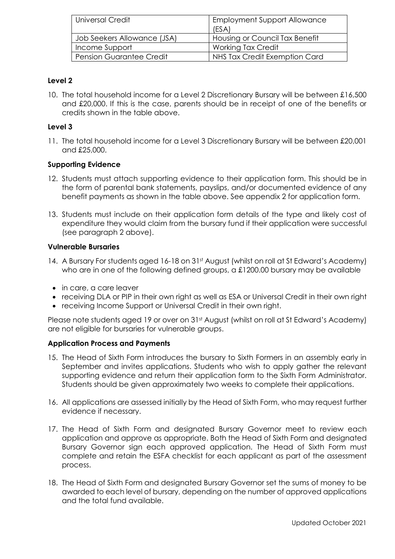| <b>Universal Credit</b>         | <b>Employment Support Allowance</b><br>(ESA) |
|---------------------------------|----------------------------------------------|
| Job Seekers Allowance (JSA)     | Housing or Council Tax Benefit               |
| Income Support                  | <b>Working Tax Credit</b>                    |
| <b>Pension Guarantee Credit</b> | NHS Tax Credit Exemption Card                |

## **Level 2**

10. The total household income for a Level 2 Discretionary Bursary will be between £16,500 and £20,000. If this is the case, parents should be in receipt of one of the benefits or credits shown in the table above.

## **Level 3**

11. The total household income for a Level 3 Discretionary Bursary will be between £20,001 and £25,000.

## **Supporting Evidence**

- 12. Students must attach supporting evidence to their application form. This should be in the form of parental bank statements, payslips, and/or documented evidence of any benefit payments as shown in the table above. See appendix 2 for application form.
- 13. Students must include on their application form details of the type and likely cost of expenditure they would claim from the bursary fund if their application were successful (see paragraph 2 above).

## **Vulnerable Bursaries**

- 14. A Bursary For students aged 16-18 on 31st August (whilst on roll at St Edward's Academy) who are in one of the following defined groups, a £1200.00 bursary may be available
- in care, a care leaver
- receiving DLA or PIP in their own right as well as ESA or Universal Credit in their own right
- receiving Income Support or Universal Credit in their own right.

Please note students aged 19 or over on 31<sup>st</sup> August (whilst on roll at St Edward's Academy) are not eligible for bursaries for vulnerable groups.

## **Application Process and Payments**

- 15. The Head of Sixth Form introduces the bursary to Sixth Formers in an assembly early in September and invites applications. Students who wish to apply gather the relevant supporting evidence and return their application form to the Sixth Form Administrator. Students should be given approximately two weeks to complete their applications.
- 16. All applications are assessed initially by the Head of Sixth Form, who may request further evidence if necessary.
- 17. The Head of Sixth Form and designated Bursary Governor meet to review each application and approve as appropriate. Both the Head of Sixth Form and designated Bursary Governor sign each approved application. The Head of Sixth Form must complete and retain the ESFA checklist for each applicant as part of the assessment process.
- 18. The Head of Sixth Form and designated Bursary Governor set the sums of money to be awarded to each level of bursary, depending on the number of approved applications and the total fund available.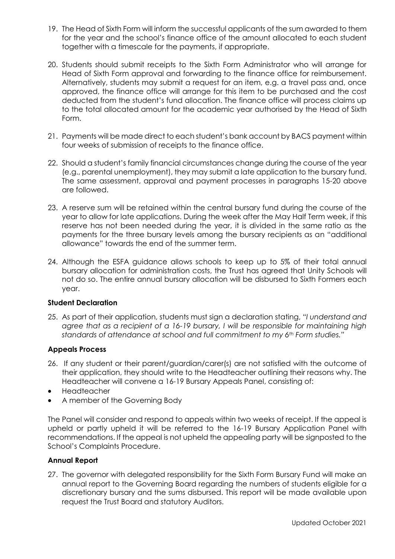- 19. The Head of Sixth Form will inform the successful applicants of the sum awarded to them for the year and the school's finance office of the amount allocated to each student together with a timescale for the payments, if appropriate.
- 20. Students should submit receipts to the Sixth Form Administrator who will arrange for Head of Sixth Form approval and forwarding to the finance office for reimbursement. Alternatively, students may submit a request for an item, e.g. a travel pass and, once approved, the finance office will arrange for this item to be purchased and the cost deducted from the student's fund allocation. The finance office will process claims up to the total allocated amount for the academic year authorised by the Head of Sixth Form.
- 21. Payments will be made direct to each student's bank account by BACS payment within four weeks of submission of receipts to the finance office.
- 22. Should a student's family financial circumstances change during the course of the year (e.g., parental unemployment), they may submit a late application to the bursary fund. The same assessment, approval and payment processes in paragraphs 15-20 above are followed.
- 23. A reserve sum will be retained within the central bursary fund during the course of the year to allow for late applications. During the week after the May Half Term week, if this reserve has not been needed during the year, it is divided in the same ratio as the payments for the three bursary levels among the bursary recipients as an "additional allowance" towards the end of the summer term.
- 24. Although the ESFA guidance allows schools to keep up to 5% of their total annual bursary allocation for administration costs, the Trust has agreed that Unity Schools will not do so. The entire annual bursary allocation will be disbursed to Sixth Formers each year.

#### **Student Declaration**

25. As part of their application, students must sign a declaration stating, *"I understand and agree that as a recipient of a 16-19 bursary, I will be responsible for maintaining high standards of attendance at school and full commitment to my 6th Form studies."*

#### **Appeals Process**

- 26. If any student or their parent/guardian/carer(s) are not satisfied with the outcome of their application, they should write to the Headteacher outlining their reasons why. The Headteacher will convene a 16-19 Bursary Appeals Panel, consisting of:
- Headteacher
- A member of the Governing Body

The Panel will consider and respond to appeals within two weeks of receipt. If the appeal is upheld or partly upheld it will be referred to the 16-19 Bursary Application Panel with recommendations. If the appeal is not upheld the appealing party will be signposted to the School's Complaints Procedure.

#### **Annual Report**

27. The governor with delegated responsibility for the Sixth Form Bursary Fund will make an annual report to the Governing Board regarding the numbers of students eligible for a discretionary bursary and the sums disbursed. This report will be made available upon request the Trust Board and statutory Auditors.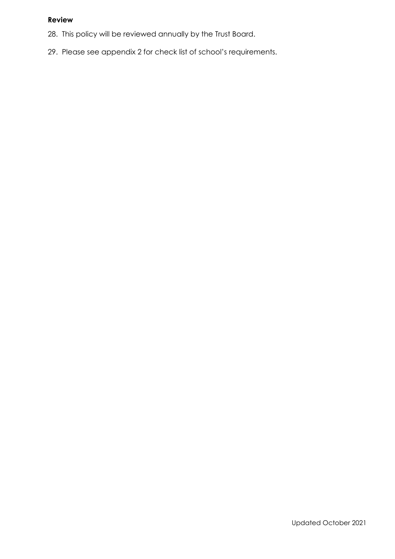## **Review**

- 28. This policy will be reviewed annually by the Trust Board.
- 29. Please see appendix 2 for check list of school's requirements.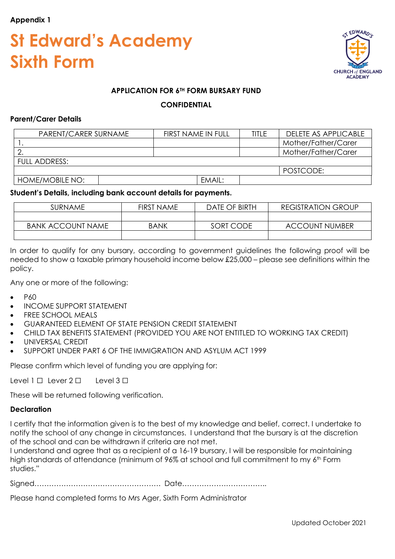### **Appendix 1**

## **St Edward's Academy Sixth Form**



### **APPLICATION FOR 6TH FORM BURSARY FUND**

#### **CONFIDENTIAL**

#### **Parent/Carer Details**

| PARENT/CARER SURNAME   | FIRST NAME IN FULL | TITI F | <b>DELETE AS APPLICABLE</b> |
|------------------------|--------------------|--------|-----------------------------|
|                        |                    |        | Mother/Father/Carer         |
|                        |                    |        | Mother/Father/Carer         |
| FULL ADDRESS:          |                    |        |                             |
|                        |                    |        | POSTCODE:                   |
| <b>HOME/MOBILE NO:</b> | EMAIL:             |        |                             |

#### **Student's Details, including bank account details for payments.**

| SURNAME                  | <b>FIRST NAME</b> | DATE OF BIRTH | <b>REGISTRATION GROUP</b> |
|--------------------------|-------------------|---------------|---------------------------|
|                          |                   |               |                           |
| <b>BANK ACCOUNT NAME</b> | <b>BANK</b>       | SORT CODE     | <b>ACCOUNT NUMBER</b>     |
|                          |                   |               |                           |

In order to qualify for any bursary, according to government guidelines the following proof will be needed to show a taxable primary household income below £25,000 – please see definitions within the policy.

Any one or more of the following:

- P60
- INCOME SUPPORT STATEMENT
- FREE SCHOOL MEALS
- GUARANTEED ELEMENT OF STATE PENSION CREDIT STATEMENT
- CHILD TAX BENEFITS STATEMENT (PROVIDED YOU ARE NOT ENTITLED TO WORKING TAX CREDIT)
- UNIVERSAL CREDIT
- SUPPORT UNDER PART 6 OF THE IMMIGRATION AND ASYLUM ACT 1999

Please confirm which level of funding you are applying for:

Level 1 <del>□</del> Lever 2 □ Level 3 □

These will be returned following verification.

#### **Declaration**

I certify that the information given is to the best of my knowledge and belief, correct. I undertake to notify the school of any change in circumstances. I understand that the bursary is at the discretion of the school and can be withdrawn if criteria are not met.

I understand and agree that as a recipient of a 16-19 bursary, I will be responsible for maintaining high standards of attendance (minimum of 96% at school and full commitment to my 6<sup>th</sup> Form studies."

Signed……………………………………………. Date……………………………..

Please hand completed forms to Mrs Ager, Sixth Form Administrator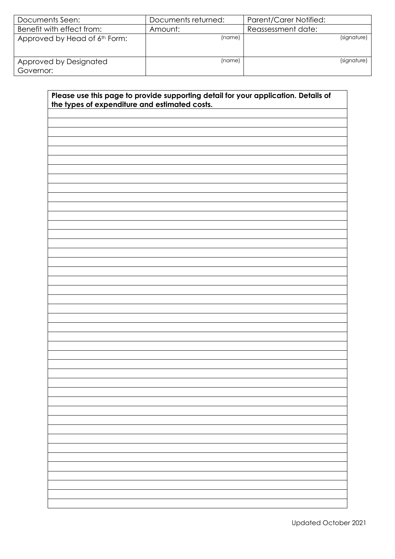| Documents Seen:                     | Documents returned: | Parent/Carer Notified: |
|-------------------------------------|---------------------|------------------------|
| Benefit with effect from:           | Amount:             | Reassessment date:     |
| Approved by Head of 6th Form:       | (name)              | (signature)            |
| Approved by Designated<br>Governor: | (name)              | (signature)            |

| Please use this page to provide supporting detail for your application. Details of<br>the types of expenditure and estimated costs. |  |  |  |  |
|-------------------------------------------------------------------------------------------------------------------------------------|--|--|--|--|
|                                                                                                                                     |  |  |  |  |
|                                                                                                                                     |  |  |  |  |
|                                                                                                                                     |  |  |  |  |
|                                                                                                                                     |  |  |  |  |
|                                                                                                                                     |  |  |  |  |
|                                                                                                                                     |  |  |  |  |
|                                                                                                                                     |  |  |  |  |
|                                                                                                                                     |  |  |  |  |
|                                                                                                                                     |  |  |  |  |
|                                                                                                                                     |  |  |  |  |
|                                                                                                                                     |  |  |  |  |
|                                                                                                                                     |  |  |  |  |
|                                                                                                                                     |  |  |  |  |
|                                                                                                                                     |  |  |  |  |
|                                                                                                                                     |  |  |  |  |
|                                                                                                                                     |  |  |  |  |
|                                                                                                                                     |  |  |  |  |
|                                                                                                                                     |  |  |  |  |
|                                                                                                                                     |  |  |  |  |
|                                                                                                                                     |  |  |  |  |
|                                                                                                                                     |  |  |  |  |
|                                                                                                                                     |  |  |  |  |
|                                                                                                                                     |  |  |  |  |
|                                                                                                                                     |  |  |  |  |
|                                                                                                                                     |  |  |  |  |
|                                                                                                                                     |  |  |  |  |
|                                                                                                                                     |  |  |  |  |
|                                                                                                                                     |  |  |  |  |
|                                                                                                                                     |  |  |  |  |
|                                                                                                                                     |  |  |  |  |
|                                                                                                                                     |  |  |  |  |
|                                                                                                                                     |  |  |  |  |
|                                                                                                                                     |  |  |  |  |
|                                                                                                                                     |  |  |  |  |
|                                                                                                                                     |  |  |  |  |
|                                                                                                                                     |  |  |  |  |
|                                                                                                                                     |  |  |  |  |
|                                                                                                                                     |  |  |  |  |
|                                                                                                                                     |  |  |  |  |
|                                                                                                                                     |  |  |  |  |
|                                                                                                                                     |  |  |  |  |
|                                                                                                                                     |  |  |  |  |
|                                                                                                                                     |  |  |  |  |
|                                                                                                                                     |  |  |  |  |
|                                                                                                                                     |  |  |  |  |
|                                                                                                                                     |  |  |  |  |
|                                                                                                                                     |  |  |  |  |